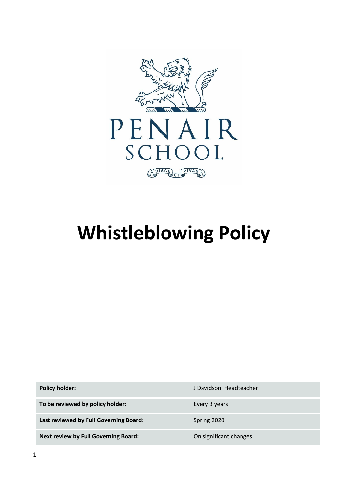

# **Whistleblowing Policy**

**To be reviewed by policy holder:** Every 3 years

Last reviewed by Full Governing Board: Spring 2020

**Next review by Full Governing Board:** On significant changes

**Policy holder:** J Davidson: Headteacher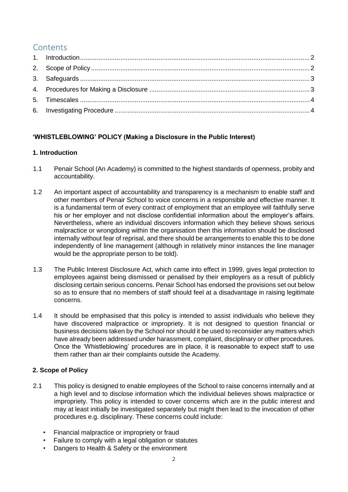## **Contents**

## **'WHISTLEBLOWING' POLICY (Making a Disclosure in the Public Interest)**

## <span id="page-1-0"></span>**1. Introduction**

- 1.1 Penair School (An Academy) is committed to the highest standards of openness, probity and accountability.
- 1.2 An important aspect of accountability and transparency is a mechanism to enable staff and other members of Penair School to voice concerns in a responsible and effective manner. It is a fundamental term of every contract of employment that an employee will faithfully serve his or her employer and not disclose confidential information about the employer's affairs. Nevertheless, where an individual discovers information which they believe shows serious malpractice or wrongdoing within the organisation then this information should be disclosed internally without fear of reprisal, and there should be arrangements to enable this to be done independently of line management (although in relatively minor instances the line manager would be the appropriate person to be told).
- 1.3 The Public Interest Disclosure Act, which came into effect in 1999, gives legal protection to employees against being dismissed or penalised by their employers as a result of publicly disclosing certain serious concerns. Penair School has endorsed the provisions set out below so as to ensure that no members of staff should feel at a disadvantage in raising legitimate concerns.
- 1.4 It should be emphasised that this policy is intended to assist individuals who believe they have discovered malpractice or impropriety. It is not designed to question financial or business decisions taken by the School nor should it be used to reconsider any matters which have already been addressed under harassment, complaint, disciplinary or other procedures. Once the 'Whistleblowing' procedures are in place, it is reasonable to expect staff to use them rather than air their complaints outside the Academy.

## <span id="page-1-1"></span>**2. Scope of Policy**

- 2.1 This policy is designed to enable employees of the School to raise concerns internally and at a high level and to disclose information which the individual believes shows malpractice or impropriety. This policy is intended to cover concerns which are in the public interest and may at least initially be investigated separately but might then lead to the invocation of other procedures e.g. disciplinary. These concerns could include:
	- Financial malpractice or impropriety or fraud
	- Failure to comply with a legal obligation or statutes
	- Dangers to Health & Safety or the environment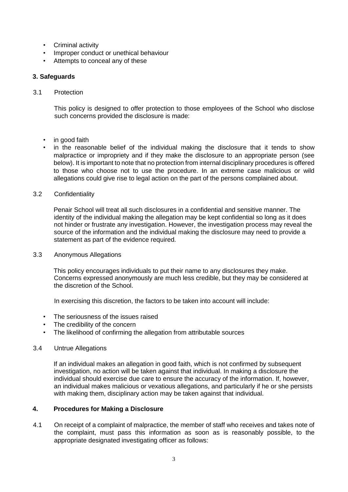- Criminal activity
- Improper conduct or unethical behaviour
- Attempts to conceal any of these

#### <span id="page-2-0"></span>**3. Safeguards**

#### 3.1 Protection

This policy is designed to offer protection to those employees of the School who disclose such concerns provided the disclosure is made:

- in good faith
- in the reasonable belief of the individual making the disclosure that it tends to show malpractice or impropriety and if they make the disclosure to an appropriate person (see below). It is important to note that no protection from internal disciplinary procedures is offered to those who choose not to use the procedure. In an extreme case malicious or wild allegations could give rise to legal action on the part of the persons complained about.

#### 3.2 Confidentiality

Penair School will treat all such disclosures in a confidential and sensitive manner. The identity of the individual making the allegation may be kept confidential so long as it does not hinder or frustrate any investigation. However, the investigation process may reveal the source of the information and the individual making the disclosure may need to provide a statement as part of the evidence required.

#### 3.3 Anonymous Allegations

This policy encourages individuals to put their name to any disclosures they make. Concerns expressed anonymously are much less credible, but they may be considered at the discretion of the School.

In exercising this discretion, the factors to be taken into account will include:

- The seriousness of the issues raised
- The credibility of the concern
- The likelihood of confirming the allegation from attributable sources

#### 3.4 Untrue Allegations

If an individual makes an allegation in good faith, which is not confirmed by subsequent investigation, no action will be taken against that individual. In making a disclosure the individual should exercise due care to ensure the accuracy of the information. If, however, an individual makes malicious or vexatious allegations, and particularly if he or she persists with making them, disciplinary action may be taken against that individual.

#### <span id="page-2-1"></span>**4. Procedures for Making a Disclosure**

4.1 On receipt of a complaint of malpractice, the member of staff who receives and takes note of the complaint, must pass this information as soon as is reasonably possible, to the appropriate designated investigating officer as follows: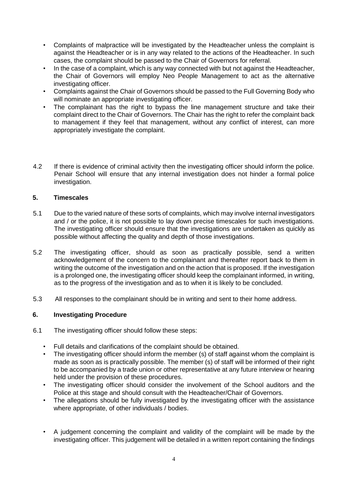- Complaints of malpractice will be investigated by the Headteacher unless the complaint is against the Headteacher or is in any way related to the actions of the Headteacher. In such cases, the complaint should be passed to the Chair of Governors for referral.
- In the case of a complaint, which is any way connected with but not against the Headteacher, the Chair of Governors will employ Neo People Management to act as the alternative investigating officer.
- Complaints against the Chair of Governors should be passed to the Full Governing Body who will nominate an appropriate investigating officer.
- The complainant has the right to bypass the line management structure and take their complaint direct to the Chair of Governors. The Chair has the right to refer the complaint back to management if they feel that management, without any conflict of interest, can more appropriately investigate the complaint.
- 4.2 If there is evidence of criminal activity then the investigating officer should inform the police. Penair School will ensure that any internal investigation does not hinder a formal police investigation.

### <span id="page-3-0"></span>**5. Timescales**

- 5.1 Due to the varied nature of these sorts of complaints, which may involve internal investigators and / or the police, it is not possible to lay down precise timescales for such investigations. The investigating officer should ensure that the investigations are undertaken as quickly as possible without affecting the quality and depth of those investigations.
- 5.2 The investigating officer, should as soon as practically possible, send a written acknowledgement of the concern to the complainant and thereafter report back to them in writing the outcome of the investigation and on the action that is proposed. If the investigation is a prolonged one, the investigating officer should keep the complainant informed, in writing, as to the progress of the investigation and as to when it is likely to be concluded.
- 5.3 All responses to the complainant should be in writing and sent to their home address.

## <span id="page-3-1"></span>**6. Investigating Procedure**

- 6.1 The investigating officer should follow these steps:
	- Full details and clarifications of the complaint should be obtained.
	- The investigating officer should inform the member (s) of staff against whom the complaint is made as soon as is practically possible. The member (s) of staff will be informed of their right to be accompanied by a trade union or other representative at any future interview or hearing held under the provision of these procedures.
	- The investigating officer should consider the involvement of the School auditors and the Police at this stage and should consult with the Headteacher/Chair of Governors.
	- The allegations should be fully investigated by the investigating officer with the assistance where appropriate, of other individuals / bodies.
	- A judgement concerning the complaint and validity of the complaint will be made by the investigating officer. This judgement will be detailed in a written report containing the findings